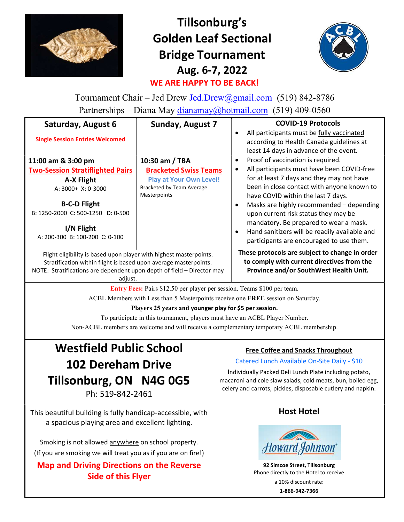

# Tillsonburg's Golden Leaf Sectional Bridge Tournament Aug. 6-7, 2022 WE ARE HAPPY TO BE BACK!



Tournament Chair – Jed Drew Jed.Drew@gmail.com (519) 842-8786 Partnerships – Diana May dianamay@hotmail.com (519) 409-0560

| Saturday, August 6                                                                                                                                                                                                          | <b>Sunday, August 7</b>                                                            | <b>COVID-19 Protocols</b>                                                                                                                                                                                                                                                                                                                                |
|-----------------------------------------------------------------------------------------------------------------------------------------------------------------------------------------------------------------------------|------------------------------------------------------------------------------------|----------------------------------------------------------------------------------------------------------------------------------------------------------------------------------------------------------------------------------------------------------------------------------------------------------------------------------------------------------|
| <b>Single Session Entries Welcomed</b>                                                                                                                                                                                      |                                                                                    | All participants must be fully vaccinated<br>according to Health Canada guidelines at<br>least 14 days in advance of the event.                                                                                                                                                                                                                          |
| 11:00 am & 3:00 pm                                                                                                                                                                                                          | 10:30 am / TBA                                                                     | Proof of vaccination is required.                                                                                                                                                                                                                                                                                                                        |
| <b>Two-Session Stratiflighted Pairs</b>                                                                                                                                                                                     | <b>Bracketed Swiss Teams</b>                                                       | All participants must have been COVID-free                                                                                                                                                                                                                                                                                                               |
| A-X Flight<br>A: 3000+ X: 0-3000<br><b>B-C-D Flight</b><br>B: 1250-2000 C: 500-1250 D: 0-500<br>I/N Flight<br>A: 200-300 B: 100-200 C: 0-100                                                                                | <b>Play at Your Own Level!</b><br>Bracketed by Team Average<br><b>Masterpoints</b> | for at least 7 days and they may not have<br>been in close contact with anyone known to<br>have COVID within the last 7 days.<br>Masks are highly recommended - depending<br>upon current risk status they may be<br>mandatory. Be prepared to wear a mask.<br>Hand sanitizers will be readily available and<br>participants are encouraged to use them. |
| Flight eligibility is based upon player with highest masterpoints.<br>Stratification within flight is based upon average masterpoints.<br>NOTE: Stratifications are dependent upon depth of field - Director may<br>adjust. |                                                                                    | These protocols are subject to change in order<br>to comply with current directives from the<br>Province and/or SouthWest Health Unit.                                                                                                                                                                                                                   |

Entry Fees: Pairs \$12.50 per player per session. Teams \$100 per team.

ACBL Members with Less than 5 Masterpoints receive one FREE session on Saturday.

Players 25 years and younger play for \$5 per session.

To participate in this tournament, players must have an ACBL Player Number.

Non-ACBL members are welcome and will receive a complementary temporary ACBL membership.

# Westfield Public School 102 Dereham Drive Tillsonburg, ON N4G 0G5 Ph: 519-842-2461

This beautiful building is fully handicap-accessible, with a spacious playing area and excellent lighting.

Smoking is not allowed anywhere on school property. (If you are smoking we will treat you as if you are on fire!)

Map and Driving Directions on the Reverse Side of this Flyer

### Free Coffee and Snacks Throughout

### Catered Lunch Available On-Site Daily - \$10

Individually Packed Deli Lunch Plate including potato, macaroni and cole slaw salads, cold meats, bun, boiled egg, celery and carrots, pickles, disposable cutlery and napkin.

## Host Hotel



92 Simcoe Street, Tillsonburg Phone directly to the Hotel to receive a 10% discount rate: 1-866-942-7366